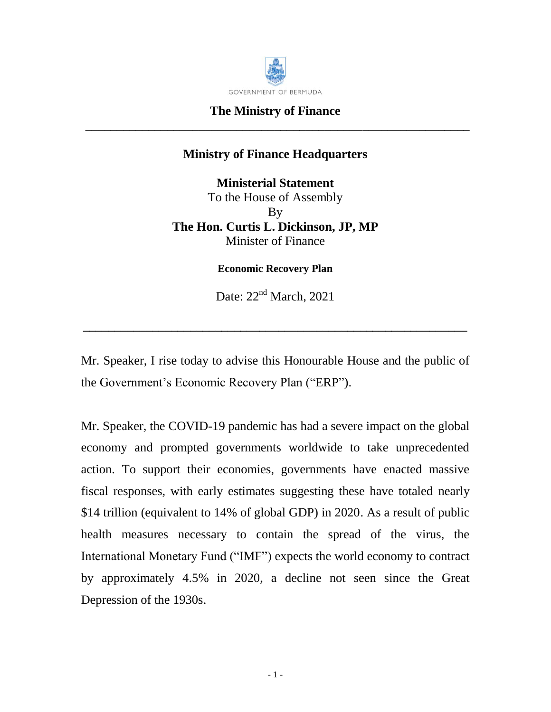

## **The Ministry of Finance** \_\_\_\_\_\_\_\_\_\_\_\_\_\_\_\_\_\_\_\_\_\_\_\_\_\_\_\_\_\_\_\_\_\_\_\_\_\_\_\_\_\_\_\_\_\_\_\_\_\_\_\_\_\_\_\_\_\_\_\_\_

## **Ministry of Finance Headquarters**

**Ministerial Statement** To the House of Assembly By **The Hon. Curtis L. Dickinson, JP, MP** Minister of Finance

**Economic Recovery Plan**

Date:  $22<sup>nd</sup> March, 2021$ 

**\_\_\_\_\_\_\_\_\_\_\_\_\_\_\_\_\_\_\_\_\_\_\_\_\_\_\_\_\_\_\_\_\_\_\_\_\_\_\_\_\_\_\_\_\_\_\_\_\_\_\_\_\_\_\_\_\_\_\_\_\_**

Mr. Speaker, I rise today to advise this Honourable House and the public of the Government's Economic Recovery Plan ("ERP").

Mr. Speaker, the COVID-19 pandemic has had a severe impact on the global economy and prompted governments worldwide to take unprecedented action. To support their economies, governments have enacted massive fiscal responses, with early estimates suggesting these have totaled nearly \$14 trillion (equivalent to 14% of global GDP) in 2020. As a result of public health measures necessary to contain the spread of the virus, the International Monetary Fund ("IMF") expects the world economy to contract by approximately 4.5% in 2020, a decline not seen since the Great Depression of the 1930s.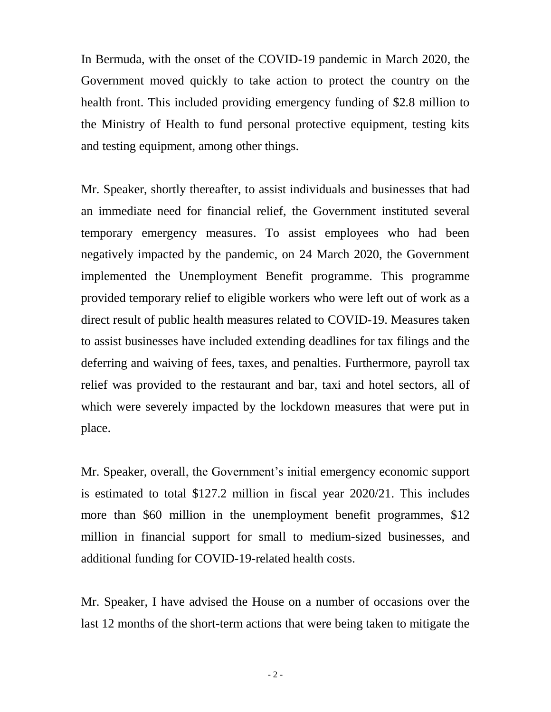In Bermuda, with the onset of the COVID-19 pandemic in March 2020, the Government moved quickly to take action to protect the country on the health front. This included providing emergency funding of \$2.8 million to the Ministry of Health to fund personal protective equipment, testing kits and testing equipment, among other things.

Mr. Speaker, shortly thereafter, to assist individuals and businesses that had an immediate need for financial relief, the Government instituted several temporary emergency measures. To assist employees who had been negatively impacted by the pandemic, on 24 March 2020, the Government implemented the Unemployment Benefit programme. This programme provided temporary relief to eligible workers who were left out of work as a direct result of public health measures related to COVID-19. Measures taken to assist businesses have included extending deadlines for tax filings and the deferring and waiving of fees, taxes, and penalties. Furthermore, payroll tax relief was provided to the restaurant and bar, taxi and hotel sectors, all of which were severely impacted by the lockdown measures that were put in place.

Mr. Speaker, overall, the Government's initial emergency economic support is estimated to total \$127.2 million in fiscal year 2020/21. This includes more than \$60 million in the unemployment benefit programmes, \$12 million in financial support for small to medium-sized businesses, and additional funding for COVID-19-related health costs.

Mr. Speaker, I have advised the House on a number of occasions over the last 12 months of the short-term actions that were being taken to mitigate the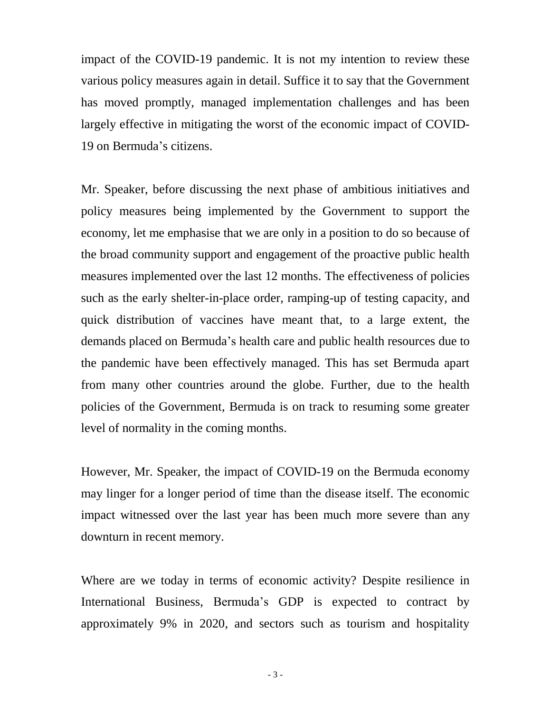impact of the COVID-19 pandemic. It is not my intention to review these various policy measures again in detail. Suffice it to say that the Government has moved promptly, managed implementation challenges and has been largely effective in mitigating the worst of the economic impact of COVID-19 on Bermuda's citizens.

Mr. Speaker, before discussing the next phase of ambitious initiatives and policy measures being implemented by the Government to support the economy, let me emphasise that we are only in a position to do so because of the broad community support and engagement of the proactive public health measures implemented over the last 12 months. The effectiveness of policies such as the early shelter-in-place order, ramping-up of testing capacity, and quick distribution of vaccines have meant that, to a large extent, the demands placed on Bermuda's health care and public health resources due to the pandemic have been effectively managed. This has set Bermuda apart from many other countries around the globe. Further, due to the health policies of the Government, Bermuda is on track to resuming some greater level of normality in the coming months.

However, Mr. Speaker, the impact of COVID-19 on the Bermuda economy may linger for a longer period of time than the disease itself. The economic impact witnessed over the last year has been much more severe than any downturn in recent memory.

Where are we today in terms of economic activity? Despite resilience in International Business, Bermuda's GDP is expected to contract by approximately 9% in 2020, and sectors such as tourism and hospitality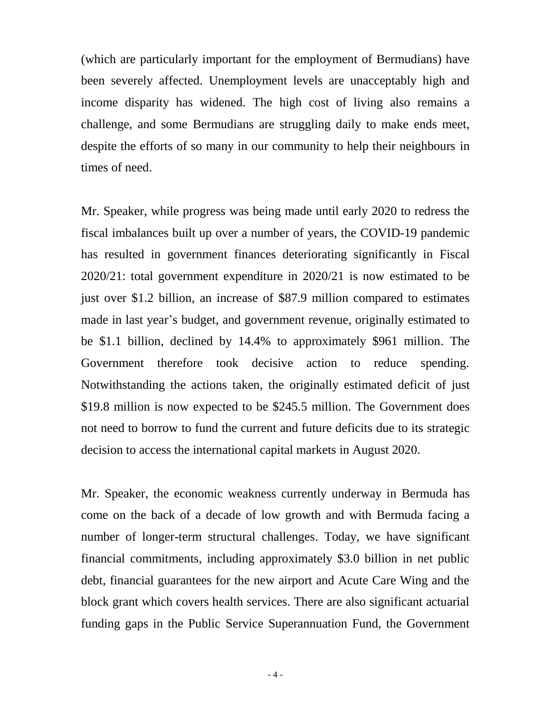(which are particularly important for the employment of Bermudians) have been severely affected. Unemployment levels are unacceptably high and income disparity has widened. The high cost of living also remains a challenge, and some Bermudians are struggling daily to make ends meet, despite the efforts of so many in our community to help their neighbours in times of need.

Mr. Speaker, while progress was being made until early 2020 to redress the fiscal imbalances built up over a number of years, the COVID-19 pandemic has resulted in government finances deteriorating significantly in Fiscal 2020/21: total government expenditure in 2020/21 is now estimated to be just over \$1.2 billion, an increase of \$87.9 million compared to estimates made in last year's budget, and government revenue, originally estimated to be \$1.1 billion, declined by 14.4% to approximately \$961 million. The Government therefore took decisive action to reduce spending. Notwithstanding the actions taken, the originally estimated deficit of just \$19.8 million is now expected to be \$245.5 million. The Government does not need to borrow to fund the current and future deficits due to its strategic decision to access the international capital markets in August 2020.

Mr. Speaker, the economic weakness currently underway in Bermuda has come on the back of a decade of low growth and with Bermuda facing a number of longer-term structural challenges. Today, we have significant financial commitments, including approximately \$3.0 billion in net public debt, financial guarantees for the new airport and Acute Care Wing and the block grant which covers health services. There are also significant actuarial funding gaps in the Public Service Superannuation Fund, the Government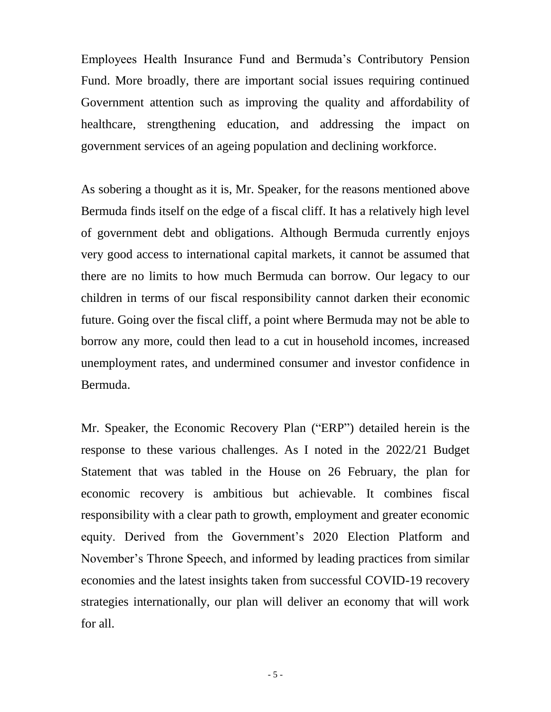Employees Health Insurance Fund and Bermuda's Contributory Pension Fund. More broadly, there are important social issues requiring continued Government attention such as improving the quality and affordability of healthcare, strengthening education, and addressing the impact on government services of an ageing population and declining workforce.

As sobering a thought as it is, Mr. Speaker, for the reasons mentioned above Bermuda finds itself on the edge of a fiscal cliff. It has a relatively high level of government debt and obligations. Although Bermuda currently enjoys very good access to international capital markets, it cannot be assumed that there are no limits to how much Bermuda can borrow. Our legacy to our children in terms of our fiscal responsibility cannot darken their economic future. Going over the fiscal cliff, a point where Bermuda may not be able to borrow any more, could then lead to a cut in household incomes, increased unemployment rates, and undermined consumer and investor confidence in Bermuda.

Mr. Speaker, the Economic Recovery Plan ("ERP") detailed herein is the response to these various challenges. As I noted in the 2022/21 Budget Statement that was tabled in the House on 26 February, the plan for economic recovery is ambitious but achievable. It combines fiscal responsibility with a clear path to growth, employment and greater economic equity. Derived from the Government's 2020 Election Platform and November's Throne Speech, and informed by leading practices from similar economies and the latest insights taken from successful COVID-19 recovery strategies internationally, our plan will deliver an economy that will work for all.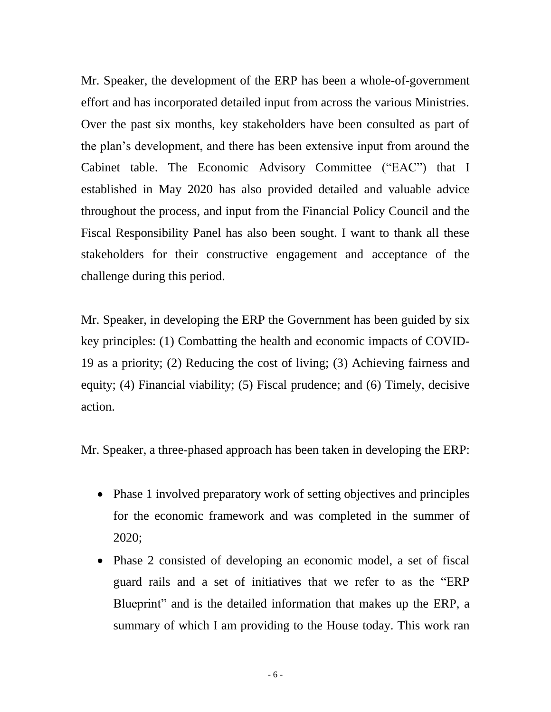Mr. Speaker, the development of the ERP has been a whole-of-government effort and has incorporated detailed input from across the various Ministries. Over the past six months, key stakeholders have been consulted as part of the plan's development, and there has been extensive input from around the Cabinet table. The Economic Advisory Committee ("EAC") that I established in May 2020 has also provided detailed and valuable advice throughout the process, and input from the Financial Policy Council and the Fiscal Responsibility Panel has also been sought. I want to thank all these stakeholders for their constructive engagement and acceptance of the challenge during this period.

Mr. Speaker, in developing the ERP the Government has been guided by six key principles: (1) Combatting the health and economic impacts of COVID-19 as a priority; (2) Reducing the cost of living; (3) Achieving fairness and equity; (4) Financial viability; (5) Fiscal prudence; and (6) Timely, decisive action.

Mr. Speaker, a three-phased approach has been taken in developing the ERP:

- Phase 1 involved preparatory work of setting objectives and principles for the economic framework and was completed in the summer of 2020;
- Phase 2 consisted of developing an economic model, a set of fiscal guard rails and a set of initiatives that we refer to as the "ERP Blueprint" and is the detailed information that makes up the ERP, a summary of which I am providing to the House today. This work ran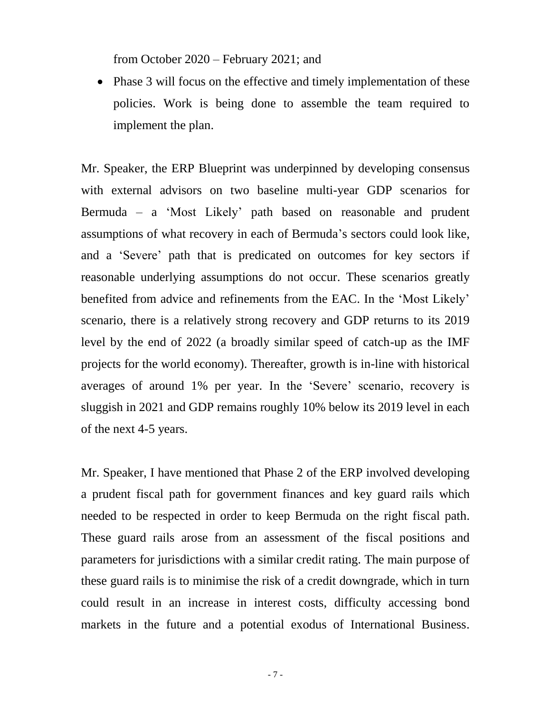from October 2020 – February 2021; and

• Phase 3 will focus on the effective and timely implementation of these policies. Work is being done to assemble the team required to implement the plan.

Mr. Speaker, the ERP Blueprint was underpinned by developing consensus with external advisors on two baseline multi-year GDP scenarios for Bermuda – a 'Most Likely' path based on reasonable and prudent assumptions of what recovery in each of Bermuda's sectors could look like, and a 'Severe' path that is predicated on outcomes for key sectors if reasonable underlying assumptions do not occur. These scenarios greatly benefited from advice and refinements from the EAC. In the 'Most Likely' scenario, there is a relatively strong recovery and GDP returns to its 2019 level by the end of 2022 (a broadly similar speed of catch-up as the IMF projects for the world economy). Thereafter, growth is in-line with historical averages of around 1% per year. In the 'Severe' scenario, recovery is sluggish in 2021 and GDP remains roughly 10% below its 2019 level in each of the next 4-5 years.

Mr. Speaker, I have mentioned that Phase 2 of the ERP involved developing a prudent fiscal path for government finances and key guard rails which needed to be respected in order to keep Bermuda on the right fiscal path. These guard rails arose from an assessment of the fiscal positions and parameters for jurisdictions with a similar credit rating. The main purpose of these guard rails is to minimise the risk of a credit downgrade, which in turn could result in an increase in interest costs, difficulty accessing bond markets in the future and a potential exodus of International Business.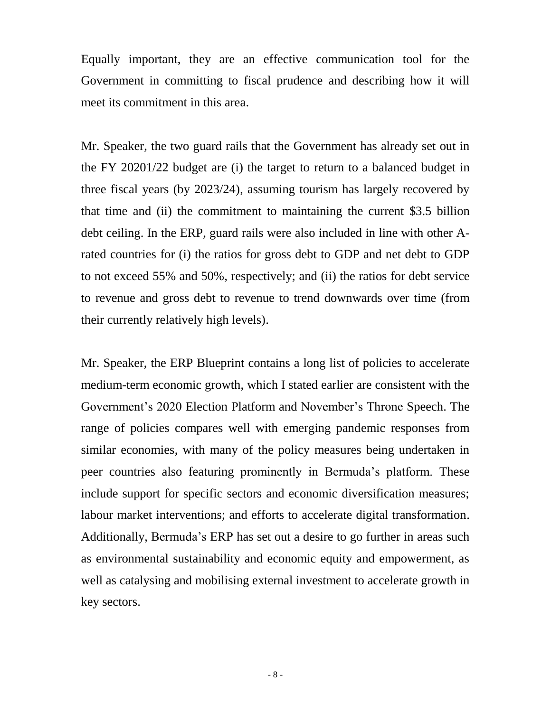Equally important, they are an effective communication tool for the Government in committing to fiscal prudence and describing how it will meet its commitment in this area.

Mr. Speaker, the two guard rails that the Government has already set out in the FY 20201/22 budget are (i) the target to return to a balanced budget in three fiscal years (by 2023/24), assuming tourism has largely recovered by that time and (ii) the commitment to maintaining the current \$3.5 billion debt ceiling. In the ERP, guard rails were also included in line with other Arated countries for (i) the ratios for gross debt to GDP and net debt to GDP to not exceed 55% and 50%, respectively; and (ii) the ratios for debt service to revenue and gross debt to revenue to trend downwards over time (from their currently relatively high levels).

Mr. Speaker, the ERP Blueprint contains a long list of policies to accelerate medium-term economic growth, which I stated earlier are consistent with the Government's 2020 Election Platform and November's Throne Speech. The range of policies compares well with emerging pandemic responses from similar economies, with many of the policy measures being undertaken in peer countries also featuring prominently in Bermuda's platform. These include support for specific sectors and economic diversification measures; labour market interventions; and efforts to accelerate digital transformation. Additionally, Bermuda's ERP has set out a desire to go further in areas such as environmental sustainability and economic equity and empowerment, as well as catalysing and mobilising external investment to accelerate growth in key sectors.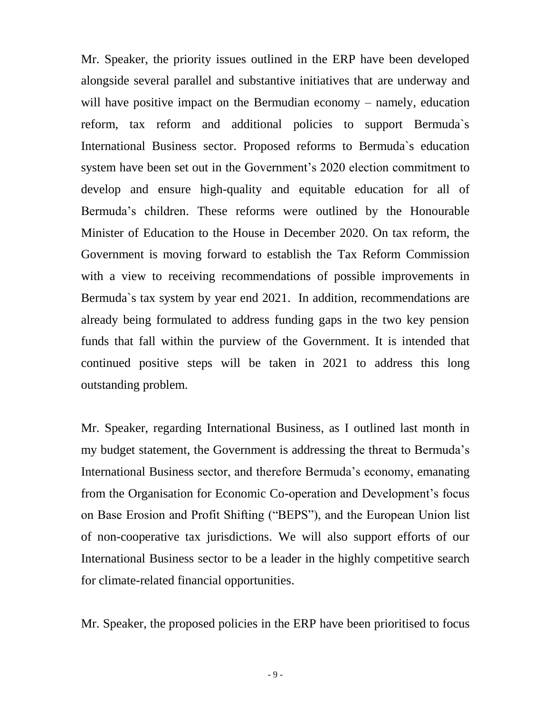Mr. Speaker, the priority issues outlined in the ERP have been developed alongside several parallel and substantive initiatives that are underway and will have positive impact on the Bermudian economy – namely, education reform, tax reform and additional policies to support Bermuda`s International Business sector. Proposed reforms to Bermuda`s education system have been set out in the Government's 2020 election commitment to develop and ensure high-quality and equitable education for all of Bermuda's children. These reforms were outlined by the Honourable Minister of Education to the House in December 2020. On tax reform, the Government is moving forward to establish the Tax Reform Commission with a view to receiving recommendations of possible improvements in Bermuda`s tax system by year end 2021. In addition, recommendations are already being formulated to address funding gaps in the two key pension funds that fall within the purview of the Government. It is intended that continued positive steps will be taken in 2021 to address this long outstanding problem.

Mr. Speaker, regarding International Business, as I outlined last month in my budget statement, the Government is addressing the threat to Bermuda's International Business sector, and therefore Bermuda's economy, emanating from the Organisation for Economic Co-operation and Development's focus on Base Erosion and Profit Shifting ("BEPS"), and the European Union list of non-cooperative tax jurisdictions. We will also support efforts of our International Business sector to be a leader in the highly competitive search for climate-related financial opportunities.

Mr. Speaker, the proposed policies in the ERP have been prioritised to focus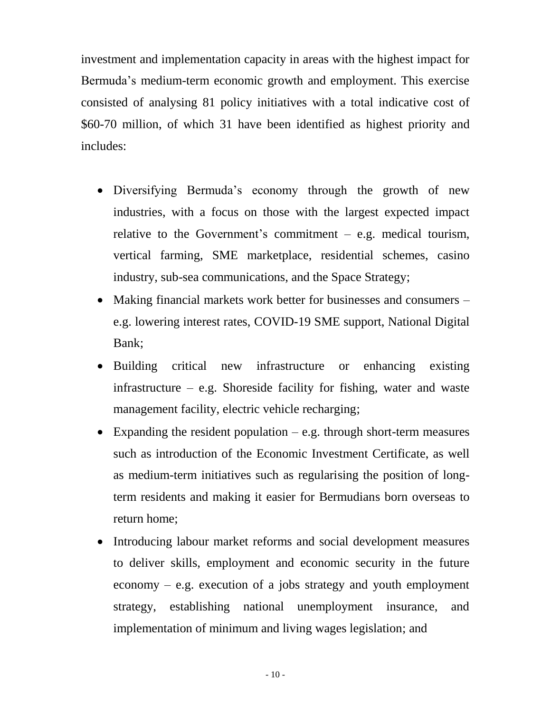investment and implementation capacity in areas with the highest impact for Bermuda's medium-term economic growth and employment. This exercise consisted of analysing 81 policy initiatives with a total indicative cost of \$60-70 million, of which 31 have been identified as highest priority and includes:

- Diversifying Bermuda's economy through the growth of new industries, with a focus on those with the largest expected impact relative to the Government's commitment  $-$  e.g. medical tourism, vertical farming, SME marketplace, residential schemes, casino industry, sub-sea communications, and the Space Strategy;
- Making financial markets work better for businesses and consumers e.g. lowering interest rates, COVID-19 SME support, National Digital Bank;
- Building critical new infrastructure or enhancing existing infrastructure – e.g. Shoreside facility for fishing, water and waste management facility, electric vehicle recharging;
- Expanding the resident population  $-e.g.$  through short-term measures such as introduction of the Economic Investment Certificate, as well as medium-term initiatives such as regularising the position of longterm residents and making it easier for Bermudians born overseas to return home;
- Introducing labour market reforms and social development measures to deliver skills, employment and economic security in the future economy  $-$  e.g. execution of a jobs strategy and youth employment strategy, establishing national unemployment insurance, and implementation of minimum and living wages legislation; and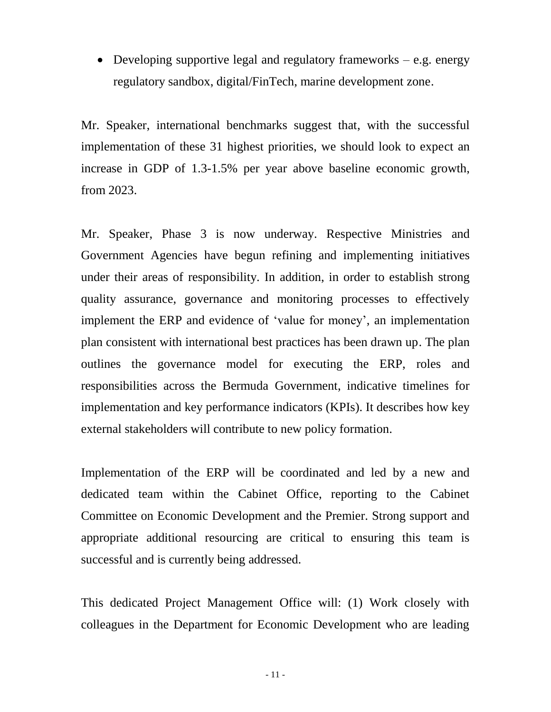• Developing supportive legal and regulatory frameworks  $-e.g.$  energy regulatory sandbox, digital/FinTech, marine development zone.

Mr. Speaker, international benchmarks suggest that, with the successful implementation of these 31 highest priorities, we should look to expect an increase in GDP of 1.3-1.5% per year above baseline economic growth, from 2023.

Mr. Speaker, Phase 3 is now underway. Respective Ministries and Government Agencies have begun refining and implementing initiatives under their areas of responsibility. In addition, in order to establish strong quality assurance, governance and monitoring processes to effectively implement the ERP and evidence of 'value for money', an implementation plan consistent with international best practices has been drawn up. The plan outlines the governance model for executing the ERP, roles and responsibilities across the Bermuda Government, indicative timelines for implementation and key performance indicators (KPIs). It describes how key external stakeholders will contribute to new policy formation.

Implementation of the ERP will be coordinated and led by a new and dedicated team within the Cabinet Office, reporting to the Cabinet Committee on Economic Development and the Premier. Strong support and appropriate additional resourcing are critical to ensuring this team is successful and is currently being addressed.

This dedicated Project Management Office will: (1) Work closely with colleagues in the Department for Economic Development who are leading